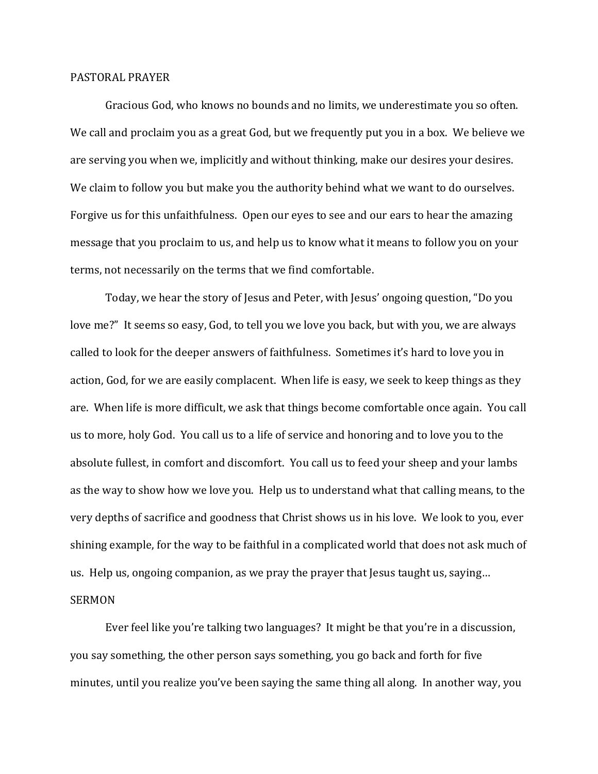## PASTORAL PRAYER

 Gracious God, who knows no bounds and no limits, we underestimate you so often. We call and proclaim you as a great God, but we frequently put you in a box. We believe we are serving you when we, implicitly and without thinking, make our desires your desires. We claim to follow you but make you the authority behind what we want to do ourselves. Forgive us for this unfaithfulness. Open our eyes to see and our ears to hear the amazing message that you proclaim to us, and help us to know what it means to follow you on your terms, not necessarily on the terms that we find comfortable.

 Today, we hear the story of Jesus and Peter, with Jesus' ongoing question, "Do you love me?" It seems so easy, God, to tell you we love you back, but with you, we are always called to look for the deeper answers of faithfulness. Sometimes it's hard to love you in action, God, for we are easily complacent. When life is easy, we seek to keep things as they are. When life is more difficult, we ask that things become comfortable once again. You call us to more, holy God. You call us to a life of service and honoring and to love you to the absolute fullest, in comfort and discomfort. You call us to feed your sheep and your lambs as the way to show how we love you. Help us to understand what that calling means, to the very depths of sacrifice and goodness that Christ shows us in his love. We look to you, ever shining example, for the way to be faithful in a complicated world that does not ask much of us. Help us, ongoing companion, as we pray the prayer that Jesus taught us, saying… SERMON

 Ever feel like you're talking two languages? It might be that you're in a discussion, you say something, the other person says something, you go back and forth for five minutes, until you realize you've been saying the same thing all along. In another way, you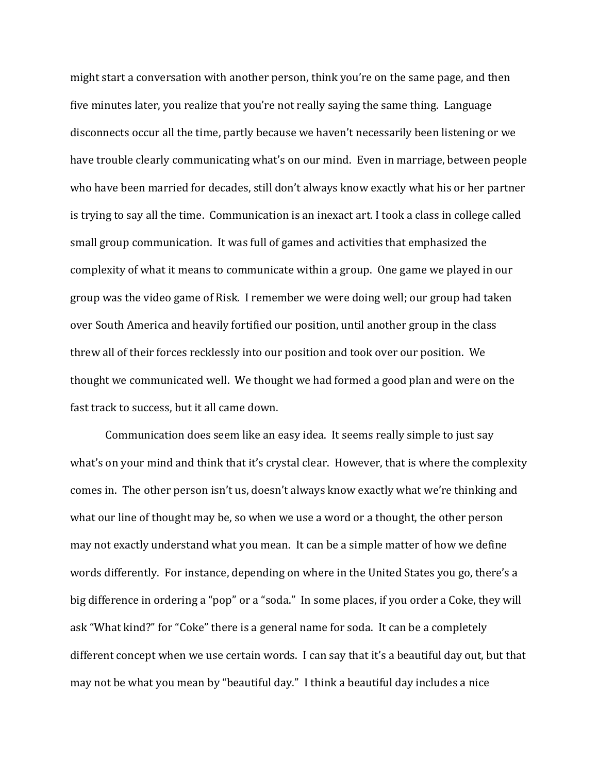might start a conversation with another person, think you're on the same page, and then five minutes later, you realize that you're not really saying the same thing. Language disconnects occur all the time, partly because we haven't necessarily been listening or we have trouble clearly communicating what's on our mind. Even in marriage, between people who have been married for decades, still don't always know exactly what his or her partner is trying to say all the time. Communication is an inexact art. I took a class in college called small group communication. It was full of games and activities that emphasized the complexity of what it means to communicate within a group. One game we played in our group was the video game of Risk. I remember we were doing well; our group had taken over South America and heavily fortified our position, until another group in the class threw all of their forces recklessly into our position and took over our position. We thought we communicated well. We thought we had formed a good plan and were on the fast track to success, but it all came down.

 Communication does seem like an easy idea. It seems really simple to just say what's on your mind and think that it's crystal clear. However, that is where the complexity comes in. The other person isn't us, doesn't always know exactly what we're thinking and what our line of thought may be, so when we use a word or a thought, the other person may not exactly understand what you mean. It can be a simple matter of how we define words differently. For instance, depending on where in the United States you go, there's a big difference in ordering a "pop" or a "soda." In some places, if you order a Coke, they will ask "What kind?" for "Coke" there is a general name for soda. It can be a completely different concept when we use certain words. I can say that it's a beautiful day out, but that may not be what you mean by "beautiful day." I think a beautiful day includes a nice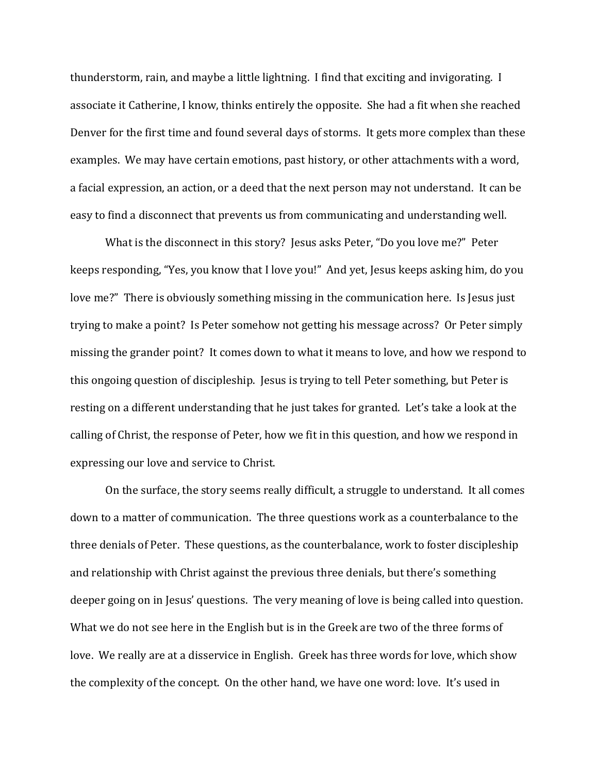thunderstorm, rain, and maybe a little lightning. I find that exciting and invigorating. I associate it Catherine, I know, thinks entirely the opposite. She had a fit when she reached Denver for the first time and found several days of storms. It gets more complex than these examples. We may have certain emotions, past history, or other attachments with a word, a facial expression, an action, or a deed that the next person may not understand. It can be easy to find a disconnect that prevents us from communicating and understanding well.

 What is the disconnect in this story? Jesus asks Peter, "Do you love me?" Peter keeps responding, "Yes, you know that I love you!" And yet, Jesus keeps asking him, do you love me?" There is obviously something missing in the communication here. Is Jesus just trying to make a point? Is Peter somehow not getting his message across? Or Peter simply missing the grander point? It comes down to what it means to love, and how we respond to this ongoing question of discipleship. Jesus is trying to tell Peter something, but Peter is resting on a different understanding that he just takes for granted. Let's take a look at the calling of Christ, the response of Peter, how we fit in this question, and how we respond in expressing our love and service to Christ.

 On the surface, the story seems really difficult, a struggle to understand. It all comes down to a matter of communication. The three questions work as a counterbalance to the three denials of Peter. These questions, as the counterbalance, work to foster discipleship and relationship with Christ against the previous three denials, but there's something deeper going on in Jesus' questions. The very meaning of love is being called into question. What we do not see here in the English but is in the Greek are two of the three forms of love. We really are at a disservice in English. Greek has three words for love, which show the complexity of the concept. On the other hand, we have one word: love. It's used in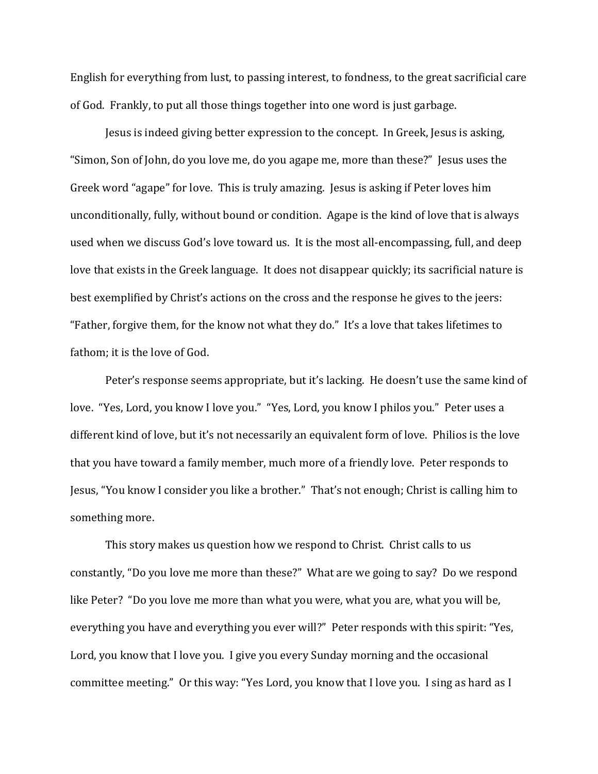English for everything from lust, to passing interest, to fondness, to the great sacrificial care of God. Frankly, to put all those things together into one word is just garbage.

Jesus is indeed giving better expression to the concept. In Greek, Jesus is asking, "Simon, Son of John, do you love me, do you agape me, more than these?" Jesus uses the Greek word "agape" for love. This is truly amazing. Jesus is asking if Peter loves him unconditionally, fully, without bound or condition. Agape is the kind of love that is always used when we discuss God's love toward us. It is the most all-encompassing, full, and deep love that exists in the Greek language. It does not disappear quickly; its sacrificial nature is best exemplified by Christ's actions on the cross and the response he gives to the jeers: "Father, forgive them, for the know not what they do." It's a love that takes lifetimes to fathom; it is the love of God.

 Peter's response seems appropriate, but it's lacking. He doesn't use the same kind of love. "Yes, Lord, you know I love you." "Yes, Lord, you know I philos you." Peter uses a different kind of love, but it's not necessarily an equivalent form of love. Philios is the love that you have toward a family member, much more of a friendly love. Peter responds to Jesus, "You know I consider you like a brother." That's not enough; Christ is calling him to something more.

This story makes us question how we respond to Christ. Christ calls to us constantly, "Do you love me more than these?" What are we going to say? Do we respond like Peter? "Do you love me more than what you were, what you are, what you will be, everything you have and everything you ever will?" Peter responds with this spirit: "Yes, Lord, you know that I love you. I give you every Sunday morning and the occasional committee meeting." Or this way: "Yes Lord, you know that I love you. I sing as hard as I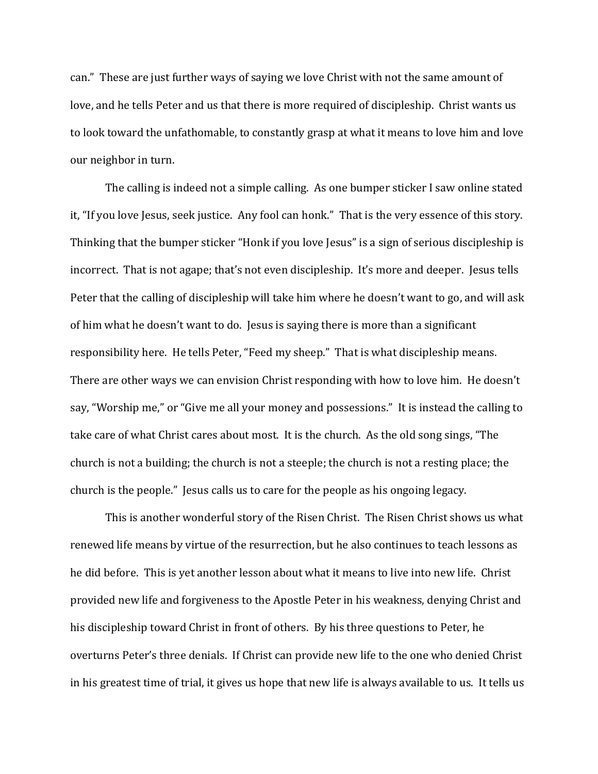can." These are just further ways of saying we love Christ with not the same amount of love, and he tells Peter and us that there is more required of discipleship. Christ wants us to look toward the unfathomable, to constantly grasp at what it means to love him and love our neighbor in turn.

The calling is indeed not a simple calling. As one bumper sticker I saw online stated it, "If you love Jesus, seek justice. Any fool can honk." That is the very essence of this story. Thinking that the bumper sticker "Honk if you love Jesus" is a sign of serious discipleship is incorrect. That is not agape; that's not even discipleship. It's more and deeper. Jesus tells Peter that the calling of discipleship will take him where he doesn't want to go, and will ask of him what he doesn't want to do. Jesus is saying there is more than a significant responsibility here. He tells Peter, "Feed my sheep." That is what discipleship means. There are other ways we can envision Christ responding with how to love him. He doesn't say, "Worship me," or "Give me all your money and possessions." It is instead the calling to take care of what Christ cares about most. It is the church. As the old song sings, "The church is not a building; the church is not a steeple; the church is not a resting place; the church is the people." Jesus calls us to care for the people as his ongoing legacy.

This is another wonderful story of the Risen Christ. The Risen Christ shows us what renewed life means by virtue of the resurrection, but he also continues to teach lessons as he did before. This is yet another lesson about what it means to live into new life. Christ provided new life and forgiveness to the Apostle Peter in his weakness, denying Christ and his discipleship toward Christ in front of others. By his three questions to Peter, he overturns Peter's three denials. If Christ can provide new life to the one who denied Christ in his greatest time of trial, it gives us hope that new life is always available to us. It tells us